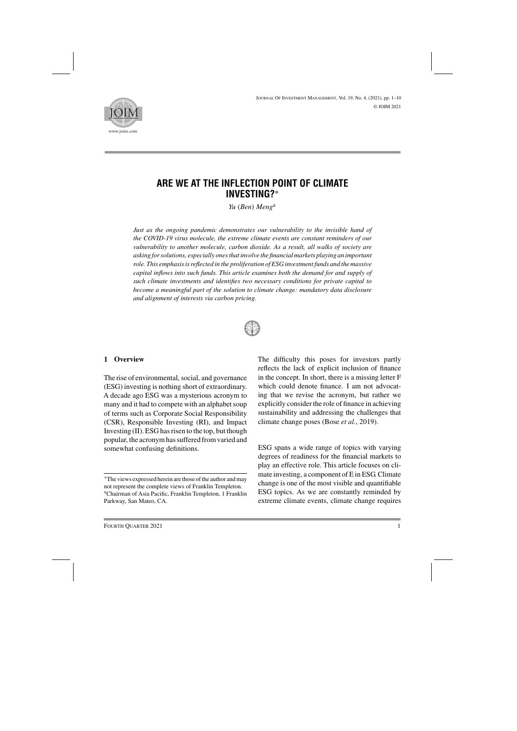<sup>J</sup>ournal <sup>O</sup>f <sup>I</sup>nvestment <sup>M</sup>anagement, Vol. 19, No. 4, (2021), pp. 1–10 © JOIM 2021



# **ARE WE AT THE INFLECTION POINT OF CLIMATE INVESTING?**∗

*Yu* (*Ben*) *Meng*<sup>a</sup>

*Just as the ongoing pandemic demonstrates our vulnerability to the invisible hand of the COVID-19 virus molecule, the extreme climate events are constant reminders of our vulnerability to another molecule, carbon dioxide. As a result, all walks of society are asking for solutions, especially ones that involve the financial markets playing an important role. This emphasis is reflected in the proliferation of ESG investment funds and the massive capital inflows into such funds. This article examines both the demand for and supply of such climate investments and identifies two necessary conditions for private capital to become a meaningful part of the solution to climate change: mandatory data disclosure and alignment of interests via carbon pricing.*



#### **1 Overview**

The rise of environmental, social, and governance (ESG) investing is nothing short of extraordinary. A decade ago ESG was a mysterious acronym to many and it had to compete with an alphabet soup of terms such as Corporate Social Responsibility (CSR), Responsible Investing (RI), and Impact Investing (II). ESG has risen to the top, but though popular, the acronym has suffered from varied and somewhat confusing definitions.

The difficulty this poses for investors partly reflects the lack of explicit inclusion of finance in the concept. In short, there is a missing letter F which could denote finance. I am not advocating that we revise the acronym, but rather we explicitly consider the role of finance in achieving sustainability and addressing the challenges that climate change poses (Bose *et al.*, 2019).

ESG spans a wide range of topics with varying degrees of readiness for the financial markets to play an effective role. This article focuses on climate investing, a component of E in ESG. Climate change is one of the most visible and quantifiable ESG topics. As we are constantly reminded by extreme climate events, climate change requires

<sup>∗</sup>The views expressed herein are those of the author and may not represent the complete views of Franklin Templeton. aChairman of Asia Pacific, Franklin Templeton, 1 Franklin Parkway, San Mateo, CA.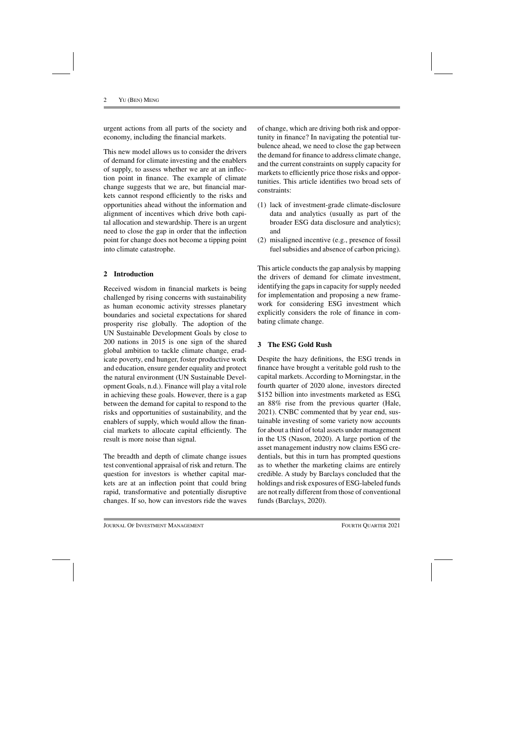urgent actions from all parts of the society and economy, including the financial markets.

This new model allows us to consider the drivers of demand for climate investing and the enablers of supply, to assess whether we are at an inflection point in finance. The example of climate change suggests that we are, but financial markets cannot respond efficiently to the risks and opportunities ahead without the information and alignment of incentives which drive both capital allocation and stewardship. There is an urgent need to close the gap in order that the inflection point for change does not become a tipping point into climate catastrophe.

# **2 Introduction**

Received wisdom in financial markets is being challenged by rising concerns with sustainability as human economic activity stresses planetary boundaries and societal expectations for shared prosperity rise globally. The adoption of the UN Sustainable Development Goals by close to 200 nations in 2015 is one sign of the shared global ambition to tackle climate change, eradicate poverty, end hunger, foster productive work and education, ensure gender equality and protect the natural environment (UN Sustainable Development Goals, n.d.). Finance will play a vital role in achieving these goals. However, there is a gap between the demand for capital to respond to the risks and opportunities of sustainability, and the enablers of supply, which would allow the financial markets to allocate capital efficiently. The result is more noise than signal.

The breadth and depth of climate change issues test conventional appraisal of risk and return. The question for investors is whether capital markets are at an inflection point that could bring rapid, transformative and potentially disruptive changes. If so, how can investors ride the waves of change, which are driving both risk and opportunity in finance? In navigating the potential turbulence ahead, we need to close the gap between the demand for finance to address climate change, and the current constraints on supply capacity for markets to efficiently price those risks and opportunities. This article identifies two broad sets of constraints:

- (1) lack of investment-grade climate-disclosure data and analytics (usually as part of the broader ESG data disclosure and analytics); and
- (2) misaligned incentive (e.g., presence of fossil fuel subsidies and absence of carbon pricing).

This article conducts the gap analysis by mapping the drivers of demand for climate investment, identifying the gaps in capacity for supply needed for implementation and proposing a new framework for considering ESG investment which explicitly considers the role of finance in combating climate change.

# **3 The ESG Gold Rush**

Despite the hazy definitions, the ESG trends in finance have brought a veritable gold rush to the capital markets. According to Morningstar, in the fourth quarter of 2020 alone, investors directed \$152 billion into investments marketed as ESG, an 88% rise from the previous quarter (Hale, 2021). CNBC commented that by year end, sustainable investing of some variety now accounts for about a third of total assets under management in the US (Nason, 2020). A large portion of the asset management industry now claims ESG credentials, but this in turn has prompted questions as to whether the marketing claims are entirely credible. A study by Barclays concluded that the holdings and risk exposures of ESG-labeled funds are not really different from those of conventional funds (Barclays, 2020).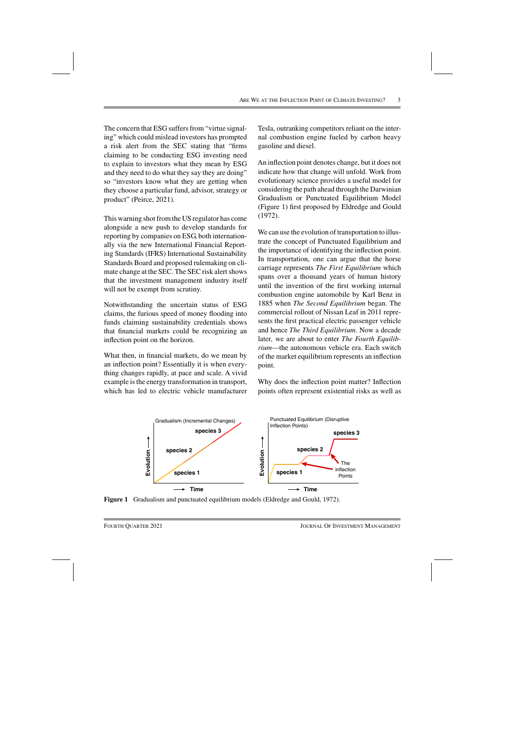The concern that ESG suffers from "virtue signaling" which could mislead investors has prompted a risk alert from the SEC stating that "firms claiming to be conducting ESG investing need to explain to investors what they mean by ESG and they need to do what they say they are doing" so "investors know what they are getting when they choose a particular fund, advisor, strategy or product" (Peirce, 2021).

This warning shot from the US regulator has come alongside a new push to develop standards for reporting by companies on ESG, both internationally via the new International Financial Reporting Standards (IFRS) International Sustainability Standards Board and proposed rulemaking on climate change at the SEC. The SEC risk alert shows that the investment management industry itself will not be exempt from scrutiny.

Notwithstanding the uncertain status of ESG claims, the furious speed of money flooding into funds claiming sustainability credentials shows that financial markets could be recognizing an inflection point on the horizon.

What then, in financial markets, do we mean by an inflection point? Essentially it is when everything changes rapidly, at pace and scale. A vivid example is the energy transformation in transport, which has led to electric vehicle manufacturer Tesla, outranking competitors reliant on the internal combustion engine fueled by carbon heavy gasoline and diesel.

An inflection point denotes change, but it does not indicate how that change will unfold. Work from evolutionary science provides a useful model for considering the path ahead through the Darwinian Gradualism or Punctuated Equilibrium Model (Figure 1) first proposed by Eldredge and Gould (1972).

We can use the evolution of transportation to illustrate the concept of Punctuated Equilibrium and the importance of identifying the inflection point. In transportation, one can argue that the horse carriage represents *The First Equilibrium* which spans over a thousand years of human history until the invention of the first working internal combustion engine automobile by Karl Benz in 1885 when *The Second Equilibrium* began. The commercial rollout of Nissan Leaf in 2011 represents the first practical electric passenger vehicle and hence *The Third Equilibrium*. Now a decade later, we are about to enter *The Fourth Equilibrium*—the autonomous vehicle era. Each switch of the market equilibrium represents an inflection point.

Why does the inflection point matter? Inflection points often represent existential risks as well as



**Figure 1** Gradualism and punctuated equilibrium models (Eldredge and Gould, 1972).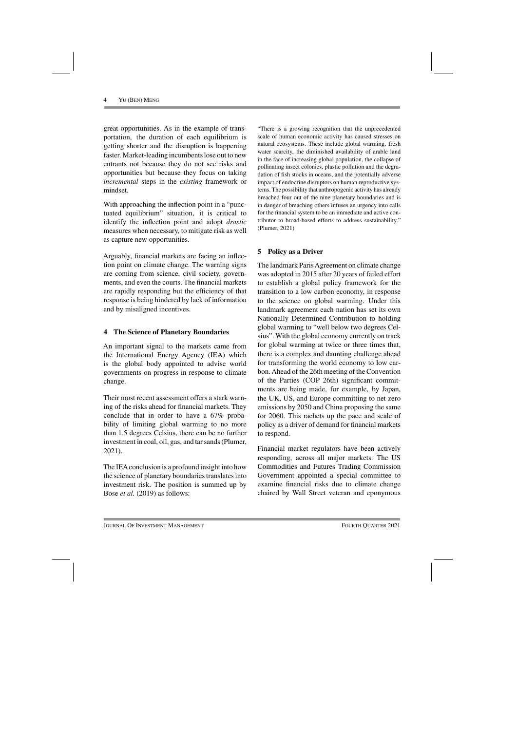great opportunities. As in the example of transportation, the duration of each equilibrium is getting shorter and the disruption is happening faster. Market-leading incumbents lose out to new entrants not because they do not see risks and opportunities but because they focus on taking *incremental* steps in the *existing* framework or mindset.

With approaching the inflection point in a "punctuated equilibrium" situation, it is critical to identify the inflection point and adopt *drastic* measures when necessary, to mitigate risk as well as capture new opportunities.

Arguably, financial markets are facing an inflection point on climate change. The warning signs are coming from science, civil society, governments, and even the courts. The financial markets are rapidly responding but the efficiency of that response is being hindered by lack of information and by misaligned incentives.

#### **4 The Science of Planetary Boundaries**

An important signal to the markets came from the International Energy Agency (IEA) which is the global body appointed to advise world governments on progress in response to climate change.

Their most recent assessment offers a stark warning of the risks ahead for financial markets. They conclude that in order to have a 67% probability of limiting global warming to no more than 1.5 degrees Celsius, there can be no further investment in coal, oil, gas, and tar sands (Plumer, 2021).

The IEAconclusion is a profound insight into how the science of planetary boundaries translates into investment risk. The position is summed up by Bose *et al.* (2019) as follows:

"There is a growing recognition that the unprecedented scale of human economic activity has caused stresses on natural ecosystems. These include global warming, fresh water scarcity, the diminished availability of arable land in the face of increasing global population, the collapse of pollinating insect colonies, plastic pollution and the degradation of fish stocks in oceans, and the potentially adverse impact of endocrine disruptors on human reproductive systems. The possibility that anthropogenic activity has already breached four out of the nine planetary boundaries and is in danger of breaching others infuses an urgency into calls for the financial system to be an immediate and active contributor to broad-based efforts to address sustainability." (Plumer, 2021)

# **5 Policy as a Driver**

The landmark Paris Agreement on climate change was adopted in 2015 after 20 years of failed effort to establish a global policy framework for the transition to a low carbon economy, in response to the science on global warming. Under this landmark agreement each nation has set its own Nationally Determined Contribution to holding global warming to "well below two degrees Celsius". With the global economy currently on track for global warming at twice or three times that, there is a complex and daunting challenge ahead for transforming the world economy to low carbon. Ahead of the 26th meeting of the Convention of the Parties (COP 26th) significant commitments are being made, for example, by Japan, the UK, US, and Europe committing to net zero emissions by 2050 and China proposing the same for 2060. This rachets up the pace and scale of policy as a driver of demand for financial markets to respond.

Financial market regulators have been actively responding, across all major markets. The US Commodities and Futures Trading Commission Government appointed a special committee to examine financial risks due to climate change chaired by Wall Street veteran and eponymous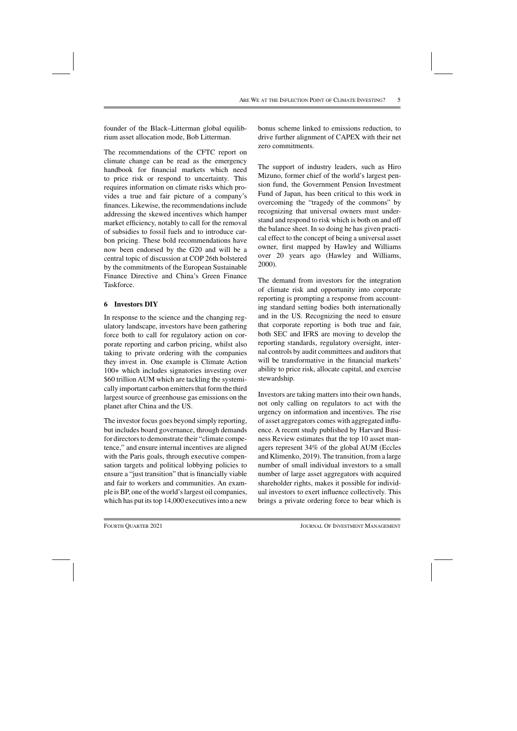founder of the Black–Litterman global equilibrium asset allocation mode, Bob Litterman.

The recommendations of the CFTC report on climate change can be read as the emergency handbook for financial markets which need to price risk or respond to uncertainty. This requires information on climate risks which provides a true and fair picture of a company's finances. Likewise, the recommendations include addressing the skewed incentives which hamper market efficiency, notably to call for the removal of subsidies to fossil fuels and to introduce carbon pricing. These bold recommendations have now been endorsed by the G20 and will be a central topic of discussion at COP 26th bolstered by the commitments of the European Sustainable Finance Directive and China's Green Finance Taskforce.

# **6 Investors DIY**

In response to the science and the changing regulatory landscape, investors have been gathering force both to call for regulatory action on corporate reporting and carbon pricing, whilst also taking to private ordering with the companies they invest in. One example is Climate Action 100+ which includes signatories investing over \$60 trillion AUM which are tackling the systemically important carbon emitters that form the third largest source of greenhouse gas emissions on the planet after China and the US.

The investor focus goes beyond simply reporting, but includes board governance, through demands for directors to demonstrate their "climate competence," and ensure internal incentives are aligned with the Paris goals, through executive compensation targets and political lobbying policies to ensure a "just transition" that is financially viable and fair to workers and communities. An example is BP, one of the world's largest oil companies, which has put its top 14,000 executives into a new

bonus scheme linked to emissions reduction, to drive further alignment of CAPEX with their net zero commitments.

The support of industry leaders, such as Hiro Mizuno, former chief of the world's largest pension fund, the Government Pension Investment Fund of Japan, has been critical to this work in overcoming the "tragedy of the commons" by recognizing that universal owners must understand and respond to risk which is both on and off the balance sheet. In so doing he has given practical effect to the concept of being a universal asset owner, first mapped by Hawley and Williams over 20 years ago (Hawley and Williams, 2000).

The demand from investors for the integration of climate risk and opportunity into corporate reporting is prompting a response from accounting standard setting bodies both internationally and in the US. Recognizing the need to ensure that corporate reporting is both true and fair, both SEC and IFRS are moving to develop the reporting standards, regulatory oversight, internal controls by audit committees and auditors that will be transformative in the financial markets' ability to price risk, allocate capital, and exercise stewardship.

Investors are taking matters into their own hands, not only calling on regulators to act with the urgency on information and incentives. The rise of asset aggregators comes with aggregated influence. A recent study published by Harvard Business Review estimates that the top 10 asset managers represent 34% of the global AUM (Eccles and Klimenko, 2019). The transition, from a large number of small individual investors to a small number of large asset aggregators with acquired shareholder rights, makes it possible for individual investors to exert influence collectively. This brings a private ordering force to bear which is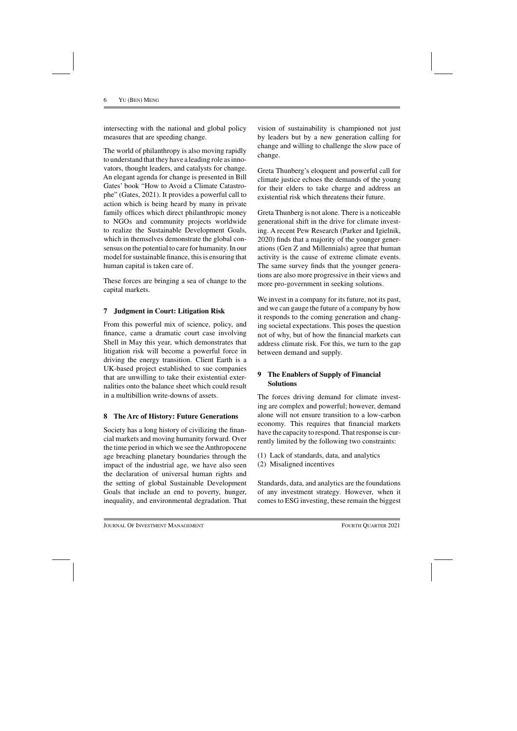intersecting with the national and global policy measures that are speeding change.

The world of philanthropy is also moving rapidly to understand that they have a leading role as innovators, thought leaders, and catalysts for change. An elegant agenda for change is presented in Bill Gates' book "How to Avoid a Climate Catastrophe" (Gates, 2021). It provides a powerful call to action which is being heard by many in private family offices which direct philanthropic money to NGOs and community projects worldwide to realize the Sustainable Development Goals, which in themselves demonstrate the global consensus on the potential to care for humanity. In our model for sustainable finance, this is ensuring that human capital is taken care of.

These forces are bringing a sea of change to the capital markets.

#### **7 Judgment in Court: Litigation Risk**

From this powerful mix of science, policy, and finance, came a dramatic court case involving Shell in May this year, which demonstrates that litigation risk will become a powerful force in driving the energy transition. Client Earth is a UK-based project established to sue companies that are unwilling to take their existential externalities onto the balance sheet which could result in a multibillion write-downs of assets.

# **8 The Arc of History: Future Generations**

Society has a long history of civilizing the financial markets and moving humanity forward. Over the time period in which we see the Anthropocene age breaching planetary boundaries through the impact of the industrial age, we have also seen the declaration of universal human rights and the setting of global Sustainable Development Goals that include an end to poverty, hunger, inequality, and environmental degradation. That

vision of sustainability is championed not just by leaders but by a new generation calling for change and willing to challenge the slow pace of change.

Greta Thunberg's eloquent and powerful call for climate justice echoes the demands of the young for their elders to take charge and address an existential risk which threatens their future.

Greta Thunberg is not alone. There is a noticeable generational shift in the drive for climate investing. A recent Pew Research (Parker and Igielnik, 2020) finds that a majority of the younger generations (Gen Z and Millennials) agree that human activity is the cause of extreme climate events. The same survey finds that the younger generations are also more progressive in their views and more pro-government in seeking solutions.

We invest in a company for its future, not its past, and we can gauge the future of a company by how it responds to the coming generation and changing societal expectations. This poses the question not of why, but of how the financial markets can address climate risk. For this, we turn to the gap between demand and supply.

# **9 The Enablers of Supply of Financial Solutions**

The forces driving demand for climate investing are complex and powerful; however, demand alone will not ensure transition to a low-carbon economy. This requires that financial markets have the capacity to respond. That response is currently limited by the following two constraints:

- (1) Lack of standards, data, and analytics
- (2) Misaligned incentives

Standards, data, and analytics are the foundations of any investment strategy. However, when it comes to ESG investing, these remain the biggest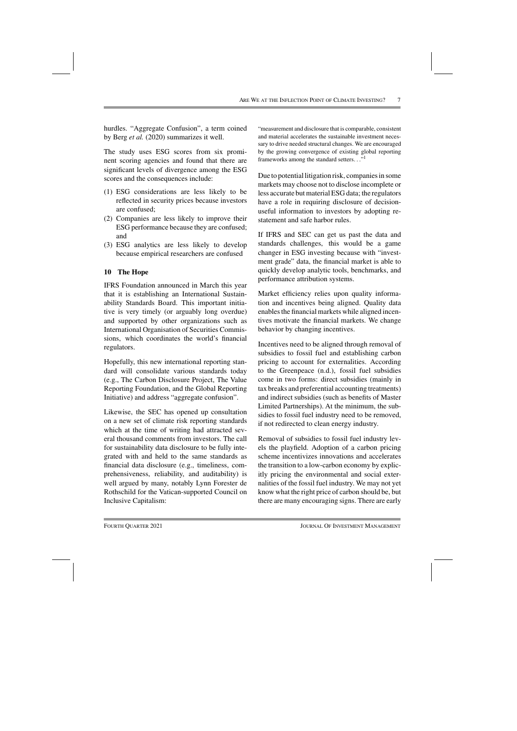hurdles. "Aggregate Confusion", a term coined by Berg *et al.* (2020) summarizes it well.

The study uses ESG scores from six prominent scoring agencies and found that there are significant levels of divergence among the ESG scores and the consequences include:

- (1) ESG considerations are less likely to be reflected in security prices because investors are confused;
- (2) Companies are less likely to improve their ESG performance because they are confused; and
- (3) ESG analytics are less likely to develop because empirical researchers are confused

# **10 The Hope**

IFRS Foundation announced in March this year that it is establishing an International Sustainability Standards Board. This important initiative is very timely (or arguably long overdue) and supported by other organizations such as International Organisation of Securities Commissions, which coordinates the world's financial regulators.

Hopefully, this new international reporting standard will consolidate various standards today (e.g., The Carbon Disclosure Project, The Value Reporting Foundation, and the Global Reporting Initiative) and address "aggregate confusion".

Likewise, the SEC has opened up consultation on a new set of climate risk reporting standards which at the time of writing had attracted several thousand comments from investors. The call for sustainability data disclosure to be fully integrated with and held to the same standards as financial data disclosure (e.g., timeliness, comprehensiveness, reliability, and auditability) is well argued by many, notably Lynn Forester de Rothschild for the Vatican-supported Council on Inclusive Capitalism:

"measurement and disclosure that is comparable, consistent and material accelerates the sustainable investment necessary to drive needed structural changes. We are encouraged by the growing convergence of existing global reporting frameworks among the standard setters..."<sup>1</sup>

Due to potential litigation risk, companies in some markets may choose not to disclose incomplete or less accurate but material ESG data; the regulators have a role in requiring disclosure of decisionuseful information to investors by adopting restatement and safe harbor rules.

If IFRS and SEC can get us past the data and standards challenges, this would be a game changer in ESG investing because with "investment grade" data, the financial market is able to quickly develop analytic tools, benchmarks, and performance attribution systems.

Market efficiency relies upon quality information and incentives being aligned. Quality data enables the financial markets while aligned incentives motivate the financial markets. We change behavior by changing incentives.

Incentives need to be aligned through removal of subsidies to fossil fuel and establishing carbon pricing to account for externalities. According to the Greenpeace (n.d.), fossil fuel subsidies come in two forms: direct subsidies (mainly in tax breaks and preferential accounting treatments) and indirect subsidies (such as benefits of Master Limited Partnerships). At the minimum, the subsidies to fossil fuel industry need to be removed, if not redirected to clean energy industry.

Removal of subsidies to fossil fuel industry levels the playfield. Adoption of a carbon pricing scheme incentivizes innovations and accelerates the transition to a low-carbon economy by explicitly pricing the environmental and social externalities of the fossil fuel industry. We may not yet know what the right price of carbon should be, but there are many encouraging signs. There are early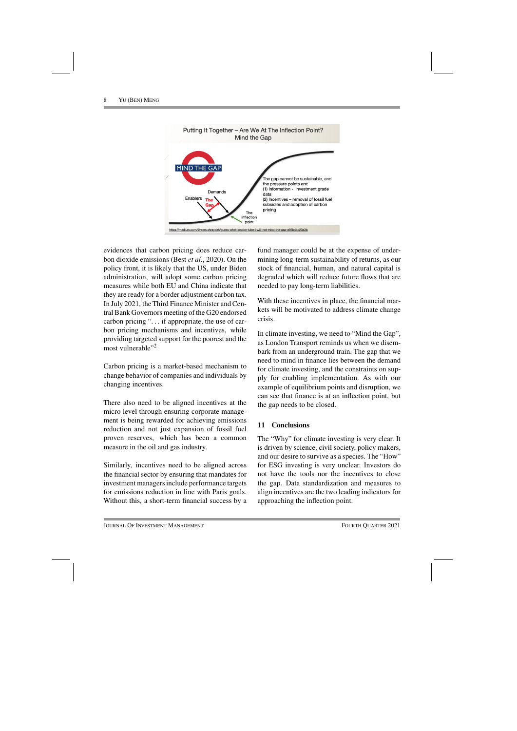

evidences that carbon pricing does reduce carbon dioxide emissions (Best *et al.*, 2020). On the policy front, it is likely that the US, under Biden administration, will adopt some carbon pricing measures while both EU and China indicate that they are ready for a border adjustment carbon tax. In July 2021, the Third Finance Minister and Central Bank Governors meeting of the G20 endorsed carbon pricing "... if appropriate, the use of carbon pricing mechanisms and incentives, while providing targeted support for the poorest and the most vulnerable"<sup>2</sup>

Carbon pricing is a market-based mechanism to change behavior of companies and individuals by changing incentives.

There also need to be aligned incentives at the micro level through ensuring corporate management is being rewarded for achieving emissions reduction and not just expansion of fossil fuel proven reserves, which has been a common measure in the oil and gas industry.

Similarly, incentives need to be aligned across the financial sector by ensuring that mandates for investment managers include performance targets for emissions reduction in line with Paris goals. Without this, a short-term financial success by a fund manager could be at the expense of undermining long-term sustainability of returns, as our stock of financial, human, and natural capital is degraded which will reduce future flows that are needed to pay long-term liabilities.

With these incentives in place, the financial markets will be motivated to address climate change crisis.

In climate investing, we need to "Mind the Gap", as London Transport reminds us when we disembark from an underground train. The gap that we need to mind in finance lies between the demand for climate investing, and the constraints on supply for enabling implementation. As with our example of equilibrium points and disruption, we can see that finance is at an inflection point, but the gap needs to be closed.

# **11 Conclusions**

The "Why" for climate investing is very clear. It is driven by science, civil society, policy makers, and our desire to survive as a species. The "How" for ESG investing is very unclear. Investors do not have the tools nor the incentives to close the gap. Data standardization and measures to align incentives are the two leading indicators for approaching the inflection point.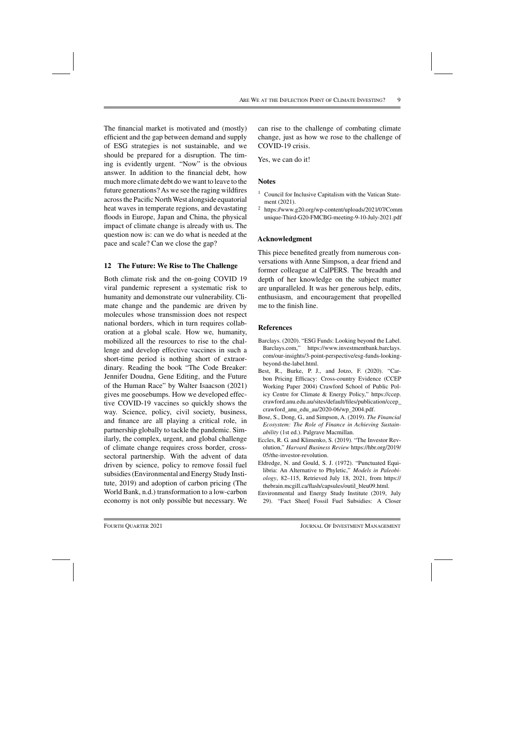The financial market is motivated and (mostly) efficient and the gap between demand and supply of ESG strategies is not sustainable, and we should be prepared for a disruption. The timing is evidently urgent. "Now" is the obvious answer. In addition to the financial debt, how much more climate debt do we want to leave to the future generations? As we see the raging wildfires across the Pacific North West alongside equatorial heat waves in temperate regions, and devastating floods in Europe, Japan and China, the physical impact of climate change is already with us. The question now is: can we do what is needed at the pace and scale? Can we close the gap?

#### **12 The Future: We Rise to The Challenge**

Both climate risk and the on-going COVID 19 viral pandemic represent a systematic risk to humanity and demonstrate our vulnerability. Climate change and the pandemic are driven by molecules whose transmission does not respect national borders, which in turn requires collaboration at a global scale. How we, humanity, mobilized all the resources to rise to the challenge and develop effective vaccines in such a short-time period is nothing short of extraordinary. Reading the book "The Code Breaker: Jennifer Doudna, Gene Editing, and the Future of the Human Race" by Walter Isaacson (2021) gives me goosebumps. How we developed effective COVID-19 vaccines so quickly shows the way. Science, policy, civil society, business, and finance are all playing a critical role, in partnership globally to tackle the pandemic. Similarly, the complex, urgent, and global challenge of climate change requires cross border, crosssectoral partnership. With the advent of data driven by science, policy to remove fossil fuel subsidies (Environmental and Energy Study Institute, 2019) and adoption of carbon pricing (The World Bank, n.d.) transformation to a low-carbon economy is not only possible but necessary. We

can rise to the challenge of combating climate change, just as how we rose to the challenge of COVID-19 crisis.

Yes, we can do it!

#### **Notes**

- <sup>1</sup> Council for Inclusive Capitalism with the Vatican Statement (2021).
- <sup>2</sup> https://www.g20.org/wp-content/uploads/2021/07/Comm unique-Third-G20-FMCBG-meeting-9-10-July-2021.pdf

#### **Acknowledgment**

This piece benefited greatly from numerous conversations with Anne Simpson, a dear friend and former colleague at CalPERS. The breadth and depth of her knowledge on the subject matter are unparalleled. It was her generous help, edits, enthusiasm, and encouragement that propelled me to the finish line.

#### **References**

- Barclays. (2020). "ESG Funds: Looking beyond the Label. Barclays.com," https://www.investmentbank.barclays. com/our-insights/3-point-perspective/esg-funds-lookingbeyond-the-label.html.
- Best, R., Burke, P. J., and Jotzo, F. (2020). "Carbon Pricing Efficacy: Cross-country Evidence (CCEP Working Paper 2004) Crawford School of Public Policy Centre for Climate & Energy Policy," https://ccep. crawford.anu.edu.au/sites/default/files/publication/ccep\_ crawford\_anu\_edu\_au/2020-06/wp\_2004.pdf.
- Bose, S., Dong, G., and Simpson, A. (2019). *The Financial Ecosystem: The Role of Finance in Achieving Sustainability* (1st ed.). Palgrave Macmillan.
- Eccles, R. G. and Klimenko, S. (2019). "The Investor Revolution," *Harvard Business Review* https://hbr.org/2019/ 05/the-investor-revolution.
- Eldredge, N. and Gould, S. J. (1972). "Punctuated Equilibria: An Alternative to Phyletic," *Models in Paleobiology*, 82–115, Retrieved July 18, 2021, from https:// thebrain.mcgill.ca/flash/capsules/outil\_bleu09.html.
- Environmental and Energy Study Institute (2019, July 29). "Fact Sheet| Fossil Fuel Subsidies: A Closer